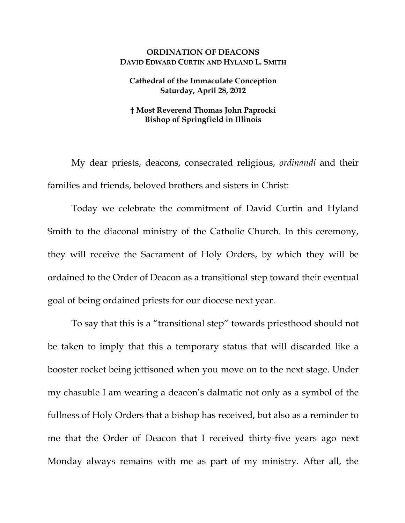## **ORDINATION OF DEACONS DAVID EDWARD CURTIN AND HYLAND L. SMITH**

## **Cathedral of the Immaculate Conception Saturday, April 28, 2012**

## **† Most Reverend Thomas John Paprocki Bishop of Springfield in Illinois**

My dear priests, deacons, consecrated religious, *ordinandi* and their families and friends, beloved brothers and sisters in Christ:

Today we celebrate the commitment of David Curtin and Hyland Smith to the diaconal ministry of the Catholic Church. In this ceremony, they will receive the Sacrament of Holy Orders, by which they will be ordained to the Order of Deacon as a transitional step toward their eventual goal of being ordained priests for our diocese next year.

To say that this is a "transitional step" towards priesthood should not be taken to imply that this a temporary status that will discarded like a booster rocket being jettisoned when you move on to the next stage. Under my chasuble I am wearing a deacon's dalmatic not only as a symbol of the fullness of Holy Orders that a bishop has received, but also as a reminder to me that the Order of Deacon that I received thirty-five years ago next Monday always remains with me as part of my ministry. After all, the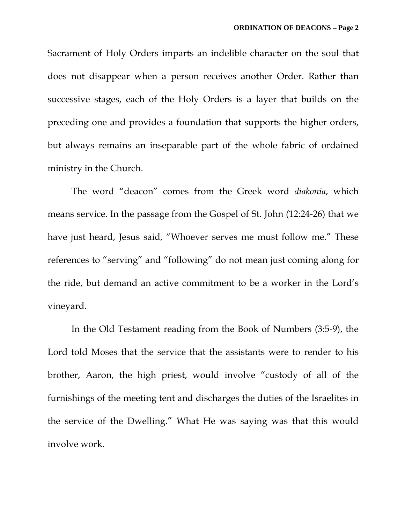Sacrament of Holy Orders imparts an indelible character on the soul that does not disappear when a person receives another Order. Rather than successive stages, each of the Holy Orders is a layer that builds on the preceding one and provides a foundation that supports the higher orders, but always remains an inseparable part of the whole fabric of ordained ministry in the Church.

The word "deacon" comes from the Greek word *diakonia*, which means service. In the passage from the Gospel of St. John (12:24-26) that we have just heard, Jesus said, "Whoever serves me must follow me." These references to "serving" and "following" do not mean just coming along for the ride, but demand an active commitment to be a worker in the Lord's vineyard.

In the Old Testament reading from the Book of Numbers (3:5-9), the Lord told Moses that the service that the assistants were to render to his brother, Aaron, the high priest, would involve "custody of all of the furnishings of the meeting tent and discharges the duties of the Israelites in the service of the Dwelling." What He was saying was that this would involve work.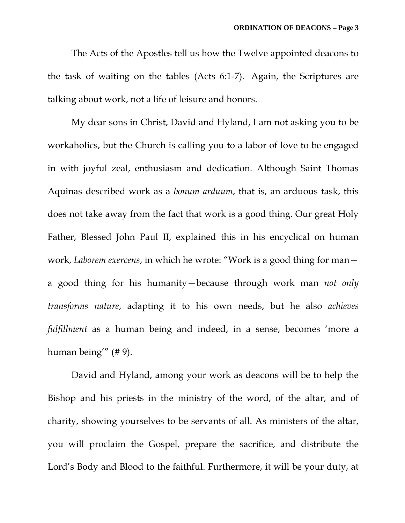The Acts of the Apostles tell us how the Twelve appointed deacons to the task of waiting on the tables (Acts 6:1-7). Again, the Scriptures are talking about work, not a life of leisure and honors.

My dear sons in Christ, David and Hyland, I am not asking you to be workaholics, but the Church is calling you to a labor of love to be engaged in with joyful zeal, enthusiasm and dedication. Although Saint Thomas Aquinas described work as a *bonum arduum*, that is, an arduous task, this does not take away from the fact that work is a good thing. Our great Holy Father, Blessed John Paul II, explained this in his encyclical on human work, *Laborem exercens*, in which he wrote: "Work is a good thing for man a good thing for his humanity—because through work man *not only transforms nature*, adapting it to his own needs, but he also *achieves fulfillment* as a human being and indeed, in a sense, becomes 'more a human being'" (# 9).

David and Hyland, among your work as deacons will be to help the Bishop and his priests in the ministry of the word, of the altar, and of charity, showing yourselves to be servants of all. As ministers of the altar, you will proclaim the Gospel, prepare the sacrifice, and distribute the Lord's Body and Blood to the faithful. Furthermore, it will be your duty, at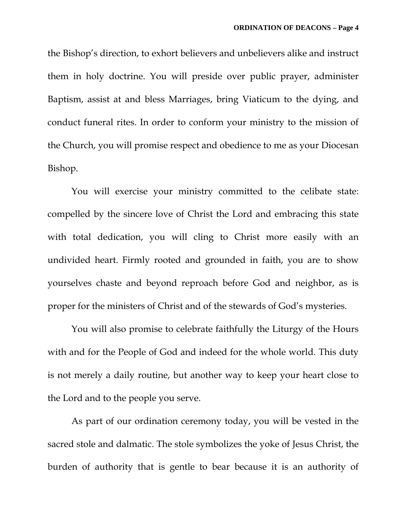the Bishop's direction, to exhort believers and unbelievers alike and instruct them in holy doctrine. You will preside over public prayer, administer Baptism, assist at and bless Marriages, bring Viaticum to the dying, and conduct funeral rites. In order to conform your ministry to the mission of the Church, you will promise respect and obedience to me as your Diocesan Bishop.

You will exercise your ministry committed to the celibate state: compelled by the sincere love of Christ the Lord and embracing this state with total dedication, you will cling to Christ more easily with an undivided heart. Firmly rooted and grounded in faith, you are to show yourselves chaste and beyond reproach before God and neighbor, as is proper for the ministers of Christ and of the stewards of God's mysteries.

You will also promise to celebrate faithfully the Liturgy of the Hours with and for the People of God and indeed for the whole world. This duty is not merely a daily routine, but another way to keep your heart close to the Lord and to the people you serve.

As part of our ordination ceremony today, you will be vested in the sacred stole and dalmatic. The stole symbolizes the yoke of Jesus Christ, the burden of authority that is gentle to bear because it is an authority of